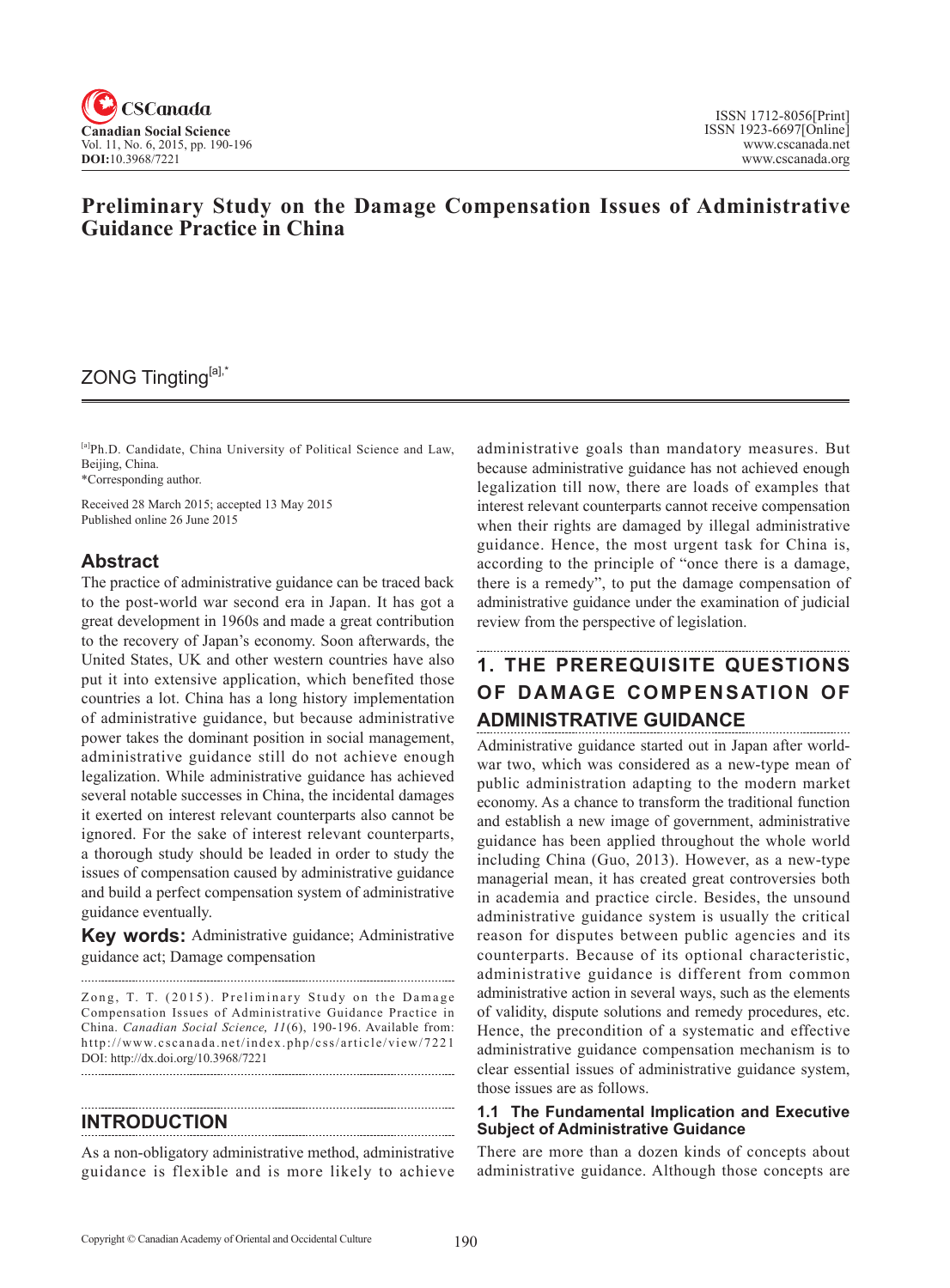

## **Preliminary Study on the Damage Compensation Issues of Administrative Guidance Practice in China**

## ZONG Tingting[a],\*

[a]Ph.D. Candidate, China University of Political Science and Law, Beijing, China.

\*Corresponding author.

Received 28 March 2015; accepted 13 May 2015 Published online 26 June 2015

## **Abstract**

The practice of administrative guidance can be traced back to the post-world war second era in Japan. It has got a great development in 1960s and made a great contribution to the recovery of Japan's economy. Soon afterwards, the United States, UK and other western countries have also put it into extensive application, which benefited those countries a lot. China has a long history implementation of administrative guidance, but because administrative power takes the dominant position in social management, administrative guidance still do not achieve enough legalization. While administrative guidance has achieved several notable successes in China, the incidental damages it exerted on interest relevant counterparts also cannot be ignored. For the sake of interest relevant counterparts, a thorough study should be leaded in order to study the issues of compensation caused by administrative guidance and build a perfect compensation system of administrative guidance eventually.

**Key words:** Administrative guidance; Administrative guidance act; Damage compensation

Zong, T. T. (2015). Preliminary Study on the Damage Compensation Issues of Administrative Guidance Practice in China. *Canadian Social Science*, 11(6), 190-196. Available from: http://www.cscanada.net/index.php/css/article/view/7221 DOI: http://dx.doi.org/10.3968/7221 

### **INTRODUCTION**

As a non-obligatory administrative method, administrative guidance is flexible and is more likely to achieve administrative goals than mandatory measures. But because administrative guidance has not achieved enough legalization till now, there are loads of examples that interest relevant counterparts cannot receive compensation when their rights are damaged by illegal administrative guidance. Hence, the most urgent task for China is, according to the principle of "once there is a damage, there is a remedy", to put the damage compensation of administrative guidance under the examination of judicial review from the perspective of legislation.

# **1. THE PREREQUISITE QUESTIONS OF DAMAGE COMPENSATION OF ADMINISTRATIVE GUIDANCE**

Administrative guidance started out in Japan after worldwar two, which was considered as a new-type mean of public administration adapting to the modern market economy. As a chance to transform the traditional function and establish a new image of government, administrative guidance has been applied throughout the whole world including China (Guo, 2013). However, as a new-type managerial mean, it has created great controversies both in academia and practice circle. Besides, the unsound administrative guidance system is usually the critical reason for disputes between public agencies and its counterparts. Because of its optional characteristic, administrative guidance is different from common administrative action in several ways, such as the elements of validity, dispute solutions and remedy procedures, etc. Hence, the precondition of a systematic and effective administrative guidance compensation mechanism is to clear essential issues of administrative guidance system, those issues are as follows.

#### **1.1 The Fundamental Implication and Executive Subject of Administrative Guidance**

There are more than a dozen kinds of concepts about administrative guidance. Although those concepts are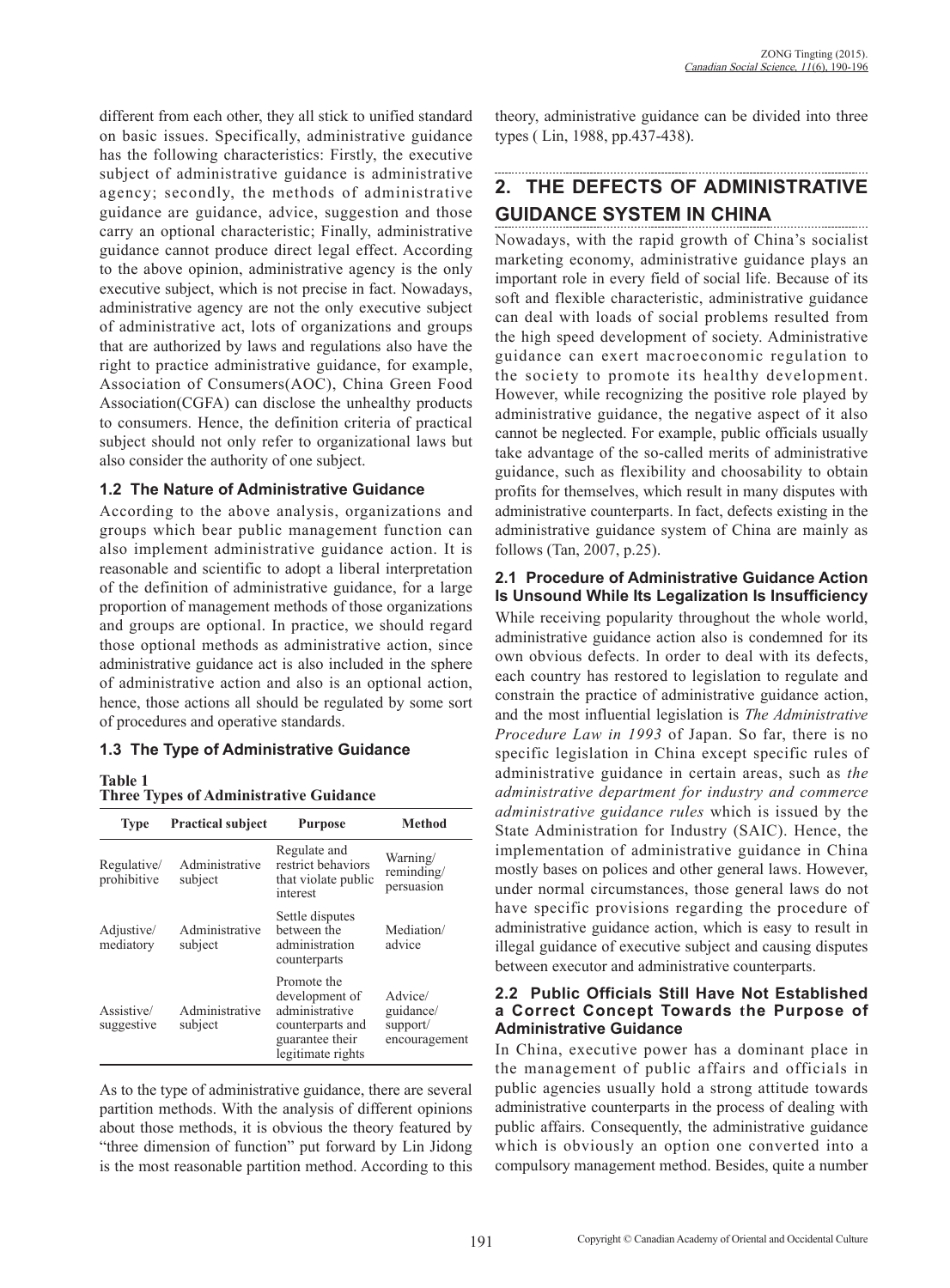different from each other, they all stick to unified standard on basic issues. Specifically, administrative guidance has the following characteristics: Firstly, the executive subject of administrative guidance is administrative agency; secondly, the methods of administrative guidance are guidance, advice, suggestion and those carry an optional characteristic; Finally, administrative guidance cannot produce direct legal effect. According to the above opinion, administrative agency is the only executive subject, which is not precise in fact. Nowadays, administrative agency are not the only executive subject of administrative act, lots of organizations and groups that are authorized by laws and regulations also have the right to practice administrative guidance, for example, Association of Consumers(AOC), China Green Food Association(CGFA) can disclose the unhealthy products to consumers. Hence, the definition criteria of practical subject should not only refer to organizational laws but also consider the authority of one subject.

#### **1.2 The Nature of Administrative Guidance**

According to the above analysis, organizations and groups which bear public management function can also implement administrative guidance action. It is reasonable and scientific to adopt a liberal interpretation of the definition of administrative guidance, for a large proportion of management methods of those organizations and groups are optional. In practice, we should regard those optional methods as administrative action, since administrative guidance act is also included in the sphere of administrative action and also is an optional action, hence, those actions all should be regulated by some sort of procedures and operative standards.

#### **1.3 The Type of Administrative Guidance**

#### **Table 1**

#### **Three Types of Administrative Guidance**

| <b>Type</b>                | <b>Practical subject</b>  | <b>Purpose</b>                                                                                              | <b>Method</b>                                     |
|----------------------------|---------------------------|-------------------------------------------------------------------------------------------------------------|---------------------------------------------------|
| Regulative/<br>prohibitive | Administrative<br>subject | Regulate and<br>restrict behaviors<br>that violate public<br>interest                                       | Warning/<br>reminding/<br>persuasion              |
| Adjustive/<br>mediatory    | Administrative<br>subject | Settle disputes<br>between the<br>administration<br>counterparts                                            | Mediation/<br>advice                              |
| Assistive/<br>suggestive   | Administrative<br>subject | Promote the<br>development of<br>administrative<br>counterparts and<br>guarantee their<br>legitimate rights | Advice/<br>guidance/<br>support/<br>encouragement |

As to the type of administrative guidance, there are several partition methods. With the analysis of different opinions about those methods, it is obvious the theory featured by "three dimension of function" put forward by Lin Jidong is the most reasonable partition method. According to this theory, administrative guidance can be divided into three types ( Lin, 1988, pp.437-438).

# **2. THE DEFECTS OF ADMINISTRATIVE GUIDANCE SYSTEM IN CHINA**

Nowadays, with the rapid growth of China's socialist marketing economy, administrative guidance plays an important role in every field of social life. Because of its soft and flexible characteristic, administrative guidance can deal with loads of social problems resulted from the high speed development of society. Administrative guidance can exert macroeconomic regulation to the society to promote its healthy development. However, while recognizing the positive role played by administrative guidance, the negative aspect of it also cannot be neglected. For example, public officials usually take advantage of the so-called merits of administrative guidance, such as flexibility and choosability to obtain profits for themselves, which result in many disputes with administrative counterparts. In fact, defects existing in the administrative guidance system of China are mainly as follows (Tan, 2007, p.25).

#### **2.1 Procedure of Administrative Guidance Action Is Unsound While Its Legalization Is Insufficiency**

While receiving popularity throughout the whole world, administrative guidance action also is condemned for its own obvious defects. In order to deal with its defects, each country has restored to legislation to regulate and constrain the practice of administrative guidance action, and the most influential legislation is *The Administrative Procedure Law in 1993* of Japan. So far, there is no specific legislation in China except specific rules of administrative guidance in certain areas, such as *the administrative department for industry and commerce administrative guidance rules* which is issued by the State Administration for Industry (SAIC). Hence, the implementation of administrative guidance in China mostly bases on polices and other general laws. However, under normal circumstances, those general laws do not have specific provisions regarding the procedure of administrative guidance action, which is easy to result in illegal guidance of executive subject and causing disputes between executor and administrative counterparts.

#### **2.2 Public Officials Still Have Not Established a Correct Concept Towards the Purpose of Administrative Guidance**

In China, executive power has a dominant place in the management of public affairs and officials in public agencies usually hold a strong attitude towards administrative counterparts in the process of dealing with public affairs. Consequently, the administrative guidance which is obviously an option one converted into a compulsory management method. Besides, quite a number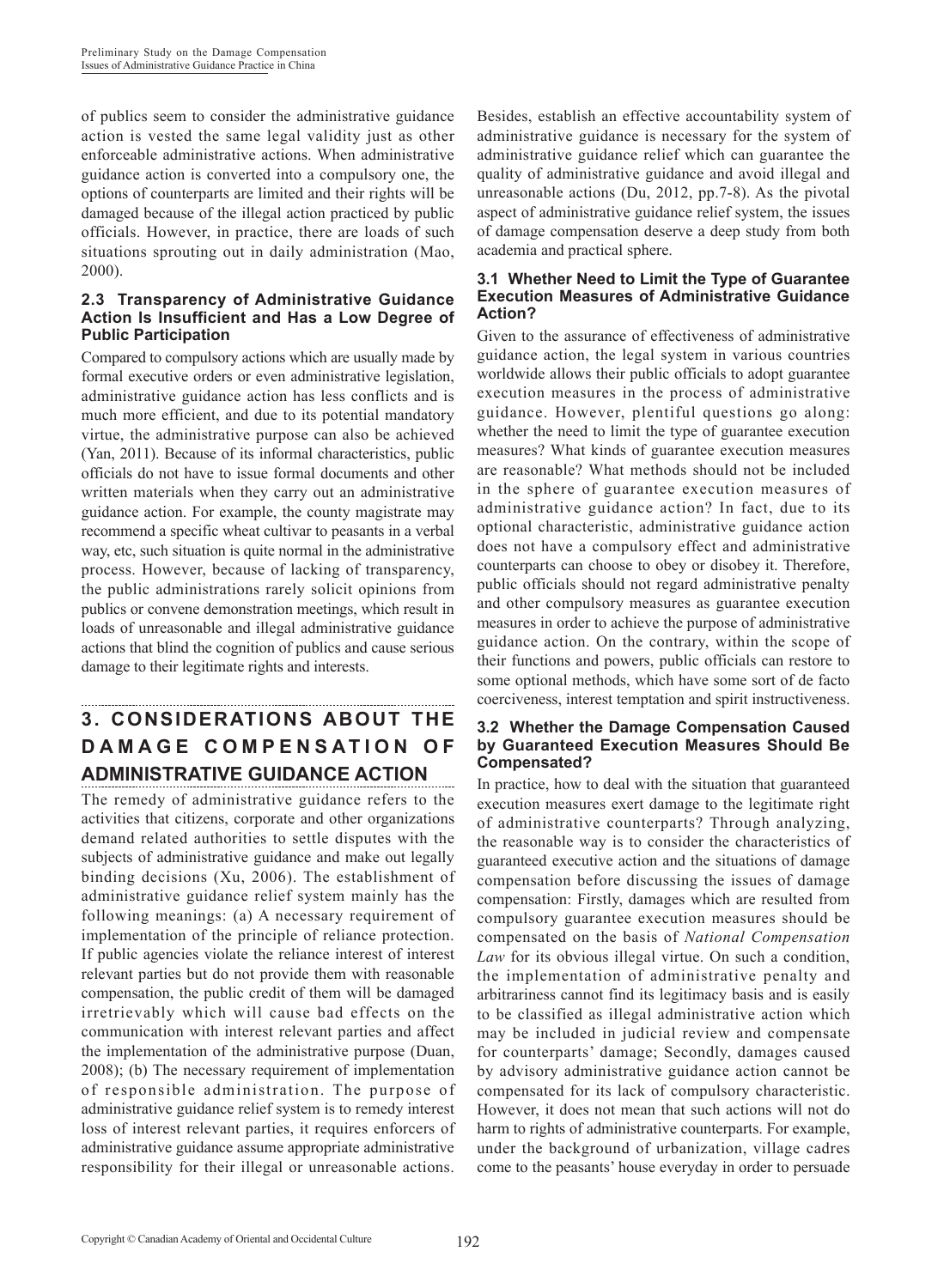of publics seem to consider the administrative guidance action is vested the same legal validity just as other enforceable administrative actions. When administrative guidance action is converted into a compulsory one, the options of counterparts are limited and their rights will be damaged because of the illegal action practiced by public officials. However, in practice, there are loads of such situations sprouting out in daily administration (Mao, 2000).

### **2.3 Transparency of Administrative Guidance Action Is Insufficient and Has a Low Degree of Public Participation**

Compared to compulsory actions which are usually made by formal executive orders or even administrative legislation, administrative guidance action has less conflicts and is much more efficient, and due to its potential mandatory virtue, the administrative purpose can also be achieved (Yan, 2011). Because of its informal characteristics, public officials do not have to issue formal documents and other written materials when they carry out an administrative guidance action. For example, the county magistrate may recommend a specific wheat cultivar to peasants in a verbal way, etc, such situation is quite normal in the administrative process. However, because of lacking of transparency, the public administrations rarely solicit opinions from publics or convene demonstration meetings, which result in loads of unreasonable and illegal administrative guidance actions that blind the cognition of publics and cause serious damage to their legitimate rights and interests.

# **3. CONSIDERATIONS ABOUT THE D A M A G E C O M P E N S A T I O N O F ADMINISTRATIVE GUIDANCE ACTION**

The remedy of administrative guidance refers to the activities that citizens, corporate and other organizations demand related authorities to settle disputes with the subjects of administrative guidance and make out legally binding decisions (Xu, 2006). The establishment of administrative guidance relief system mainly has the following meanings: (a) A necessary requirement of implementation of the principle of reliance protection. If public agencies violate the reliance interest of interest relevant parties but do not provide them with reasonable compensation, the public credit of them will be damaged irretrievably which will cause bad effects on the communication with interest relevant parties and affect the implementation of the administrative purpose (Duan, 2008); (b) The necessary requirement of implementation of responsible administration. The purpose of administrative guidance relief system is to remedy interest loss of interest relevant parties, it requires enforcers of administrative guidance assume appropriate administrative responsibility for their illegal or unreasonable actions.

Besides, establish an effective accountability system of administrative guidance is necessary for the system of administrative guidance relief which can guarantee the quality of administrative guidance and avoid illegal and unreasonable actions (Du, 2012, pp.7-8). As the pivotal aspect of administrative guidance relief system, the issues of damage compensation deserve a deep study from both academia and practical sphere.

#### **3.1 Whether Need to Limit the Type of Guarantee Execution Measures of Administrative Guidance Action?**

Given to the assurance of effectiveness of administrative guidance action, the legal system in various countries worldwide allows their public officials to adopt guarantee execution measures in the process of administrative guidance. However, plentiful questions go along: whether the need to limit the type of guarantee execution measures? What kinds of guarantee execution measures are reasonable? What methods should not be included in the sphere of guarantee execution measures of administrative guidance action? In fact, due to its optional characteristic, administrative guidance action does not have a compulsory effect and administrative counterparts can choose to obey or disobey it. Therefore, public officials should not regard administrative penalty and other compulsory measures as guarantee execution measures in order to achieve the purpose of administrative guidance action. On the contrary, within the scope of their functions and powers, public officials can restore to some optional methods, which have some sort of de facto coerciveness, interest temptation and spirit instructiveness.

#### **3.2 Whether the Damage Compensation Caused by Guaranteed Execution Measures Should Be Compensated?**

In practice, how to deal with the situation that guaranteed execution measures exert damage to the legitimate right of administrative counterparts? Through analyzing, the reasonable way is to consider the characteristics of guaranteed executive action and the situations of damage compensation before discussing the issues of damage compensation: Firstly, damages which are resulted from compulsory guarantee execution measures should be compensated on the basis of *National Compensation Law* for its obvious illegal virtue. On such a condition, the implementation of administrative penalty and arbitrariness cannot find its legitimacy basis and is easily to be classified as illegal administrative action which may be included in judicial review and compensate for counterparts' damage; Secondly, damages caused by advisory administrative guidance action cannot be compensated for its lack of compulsory characteristic. However, it does not mean that such actions will not do harm to rights of administrative counterparts. For example, under the background of urbanization, village cadres come to the peasants' house everyday in order to persuade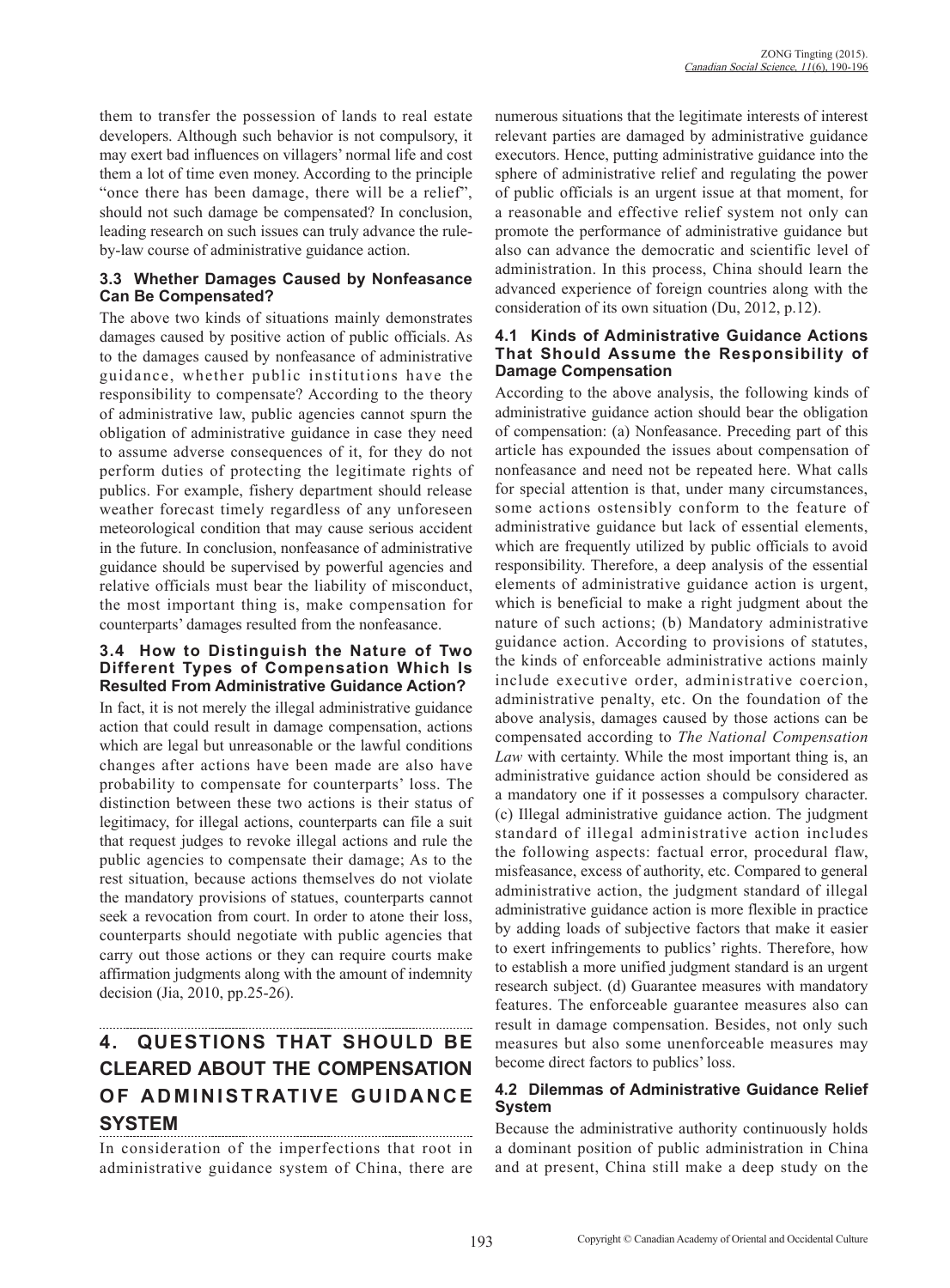them to transfer the possession of lands to real estate developers. Although such behavior is not compulsory, it may exert bad influences on villagers' normal life and cost them a lot of time even money. According to the principle "once there has been damage, there will be a relief", should not such damage be compensated? In conclusion, leading research on such issues can truly advance the ruleby-law course of administrative guidance action.

### **3.3 Whether Damages Caused by Nonfeasance Can Be Compensated?**

The above two kinds of situations mainly demonstrates damages caused by positive action of public officials. As to the damages caused by nonfeasance of administrative guidance, whether public institutions have the responsibility to compensate? According to the theory of administrative law, public agencies cannot spurn the obligation of administrative guidance in case they need to assume adverse consequences of it, for they do not perform duties of protecting the legitimate rights of publics. For example, fishery department should release weather forecast timely regardless of any unforeseen meteorological condition that may cause serious accident in the future. In conclusion, nonfeasance of administrative guidance should be supervised by powerful agencies and relative officials must bear the liability of misconduct, the most important thing is, make compensation for counterparts' damages resulted from the nonfeasance.

#### **3.4 How to Distinguish the Nature of Two Different Types of Compensation Which Is Resulted From Administrative Guidance Action?**

In fact, it is not merely the illegal administrative guidance action that could result in damage compensation, actions which are legal but unreasonable or the lawful conditions changes after actions have been made are also have probability to compensate for counterparts' loss. The distinction between these two actions is their status of legitimacy, for illegal actions, counterparts can file a suit that request judges to revoke illegal actions and rule the public agencies to compensate their damage; As to the rest situation, because actions themselves do not violate the mandatory provisions of statues, counterparts cannot seek a revocation from court. In order to atone their loss, counterparts should negotiate with public agencies that carry out those actions or they can require courts make affirmation judgments along with the amount of indemnity decision (Jia, 2010, pp.25-26).

## **4. QUESTIONS THAT SHOULD BE CLEARED ABOUT THE COMPENSATION OF ADMINISTRATIVE GUIDANCE SYSTEM**

In consideration of the imperfections that root in administrative guidance system of China, there are

numerous situations that the legitimate interests of interest relevant parties are damaged by administrative guidance executors. Hence, putting administrative guidance into the sphere of administrative relief and regulating the power of public officials is an urgent issue at that moment, for a reasonable and effective relief system not only can promote the performance of administrative guidance but also can advance the democratic and scientific level of administration. In this process, China should learn the advanced experience of foreign countries along with the consideration of its own situation (Du, 2012, p.12).

#### **4.1 Kinds of Administrative Guidance Actions That Should Assume the Responsibility of Damage Compensation**

According to the above analysis, the following kinds of administrative guidance action should bear the obligation of compensation: (a) Nonfeasance. Preceding part of this article has expounded the issues about compensation of nonfeasance and need not be repeated here. What calls for special attention is that, under many circumstances, some actions ostensibly conform to the feature of administrative guidance but lack of essential elements, which are frequently utilized by public officials to avoid responsibility. Therefore, a deep analysis of the essential elements of administrative guidance action is urgent, which is beneficial to make a right judgment about the nature of such actions; (b) Mandatory administrative guidance action. According to provisions of statutes, the kinds of enforceable administrative actions mainly include executive order, administrative coercion, administrative penalty, etc. On the foundation of the above analysis, damages caused by those actions can be compensated according to *The National Compensation Law* with certainty. While the most important thing is, an administrative guidance action should be considered as a mandatory one if it possesses a compulsory character. (c) Illegal administrative guidance action. The judgment standard of illegal administrative action includes the following aspects: factual error, procedural flaw, misfeasance, excess of authority, etc. Compared to general administrative action, the judgment standard of illegal administrative guidance action is more flexible in practice by adding loads of subjective factors that make it easier to exert infringements to publics' rights. Therefore, how to establish a more unified judgment standard is an urgent research subject. (d) Guarantee measures with mandatory features. The enforceable guarantee measures also can result in damage compensation. Besides, not only such measures but also some unenforceable measures may become direct factors to publics' loss.

### **4.2 Dilemmas of Administrative Guidance Relief System**

Because the administrative authority continuously holds a dominant position of public administration in China and at present, China still make a deep study on the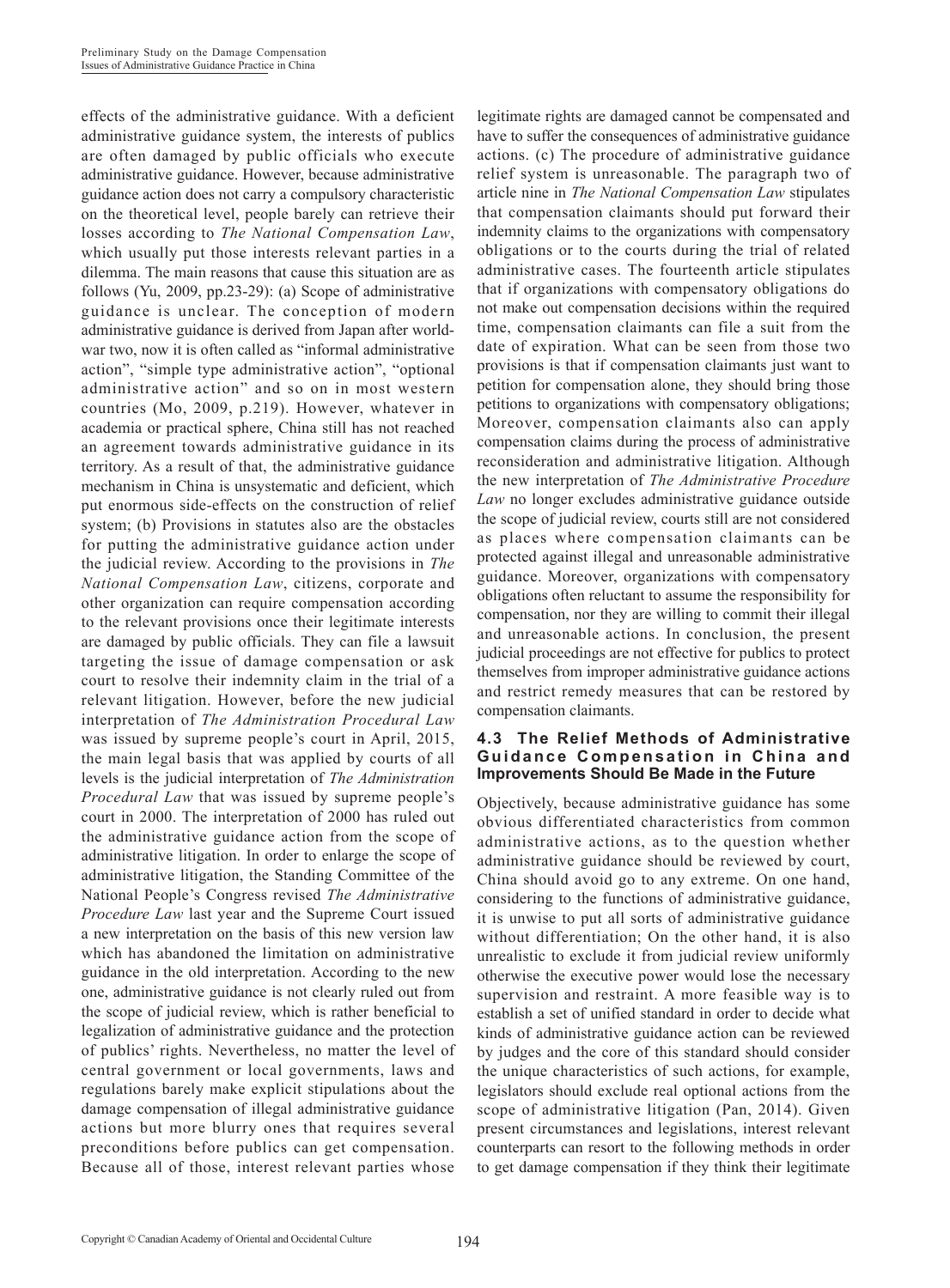effects of the administrative guidance. With a deficient administrative guidance system, the interests of publics are often damaged by public officials who execute administrative guidance. However, because administrative guidance action does not carry a compulsory characteristic on the theoretical level, people barely can retrieve their losses according to *The National Compensation Law*, which usually put those interests relevant parties in a dilemma. The main reasons that cause this situation are as follows (Yu, 2009, pp.23-29): (a) Scope of administrative guidance is unclear. The conception of modern administrative guidance is derived from Japan after worldwar two, now it is often called as "informal administrative action", "simple type administrative action", "optional administrative action" and so on in most western countries (Mo, 2009, p.219). However, whatever in academia or practical sphere, China still has not reached an agreement towards administrative guidance in its territory. As a result of that, the administrative guidance mechanism in China is unsystematic and deficient, which put enormous side-effects on the construction of relief system; (b) Provisions in statutes also are the obstacles for putting the administrative guidance action under the judicial review. According to the provisions in *The National Compensation Law*, citizens, corporate and other organization can require compensation according to the relevant provisions once their legitimate interests are damaged by public officials. They can file a lawsuit targeting the issue of damage compensation or ask court to resolve their indemnity claim in the trial of a relevant litigation. However, before the new judicial interpretation of *The Administration Procedural Law* was issued by supreme people's court in April, 2015, the main legal basis that was applied by courts of all levels is the judicial interpretation of *The Administration Procedural Law* that was issued by supreme people's court in 2000. The interpretation of 2000 has ruled out the administrative guidance action from the scope of administrative litigation. In order to enlarge the scope of administrative litigation, the Standing Committee of the National People's Congress revised *The Administrative Procedure Law* last year and the Supreme Court issued a new interpretation on the basis of this new version law which has abandoned the limitation on administrative guidance in the old interpretation. According to the new one, administrative guidance is not clearly ruled out from the scope of judicial review, which is rather beneficial to legalization of administrative guidance and the protection of publics' rights. Nevertheless, no matter the level of central government or local governments, laws and regulations barely make explicit stipulations about the damage compensation of illegal administrative guidance actions but more blurry ones that requires several preconditions before publics can get compensation. Because all of those, interest relevant parties whose

legitimate rights are damaged cannot be compensated and have to suffer the consequences of administrative guidance actions. (c) The procedure of administrative guidance relief system is unreasonable. The paragraph two of article nine in *The National Compensation Law* stipulates that compensation claimants should put forward their indemnity claims to the organizations with compensatory obligations or to the courts during the trial of related administrative cases. The fourteenth article stipulates that if organizations with compensatory obligations do not make out compensation decisions within the required time, compensation claimants can file a suit from the date of expiration. What can be seen from those two provisions is that if compensation claimants just want to petition for compensation alone, they should bring those petitions to organizations with compensatory obligations; Moreover, compensation claimants also can apply compensation claims during the process of administrative reconsideration and administrative litigation. Although the new interpretation of *The Administrative Procedure Law* no longer excludes administrative guidance outside the scope of judicial review, courts still are not considered as places where compensation claimants can be protected against illegal and unreasonable administrative guidance. Moreover, organizations with compensatory obligations often reluctant to assume the responsibility for compensation, nor they are willing to commit their illegal and unreasonable actions. In conclusion, the present judicial proceedings are not effective for publics to protect themselves from improper administrative guidance actions and restrict remedy measures that can be restored by compensation claimants.

#### **4.3 The Relief Methods of Administrative Guidance Compensation in China and Improvements Should Be Made in the Future**

Objectively, because administrative guidance has some obvious differentiated characteristics from common administrative actions, as to the question whether administrative guidance should be reviewed by court, China should avoid go to any extreme. On one hand, considering to the functions of administrative guidance, it is unwise to put all sorts of administrative guidance without differentiation; On the other hand, it is also unrealistic to exclude it from judicial review uniformly otherwise the executive power would lose the necessary supervision and restraint. A more feasible way is to establish a set of unified standard in order to decide what kinds of administrative guidance action can be reviewed by judges and the core of this standard should consider the unique characteristics of such actions, for example, legislators should exclude real optional actions from the scope of administrative litigation (Pan, 2014). Given present circumstances and legislations, interest relevant counterparts can resort to the following methods in order to get damage compensation if they think their legitimate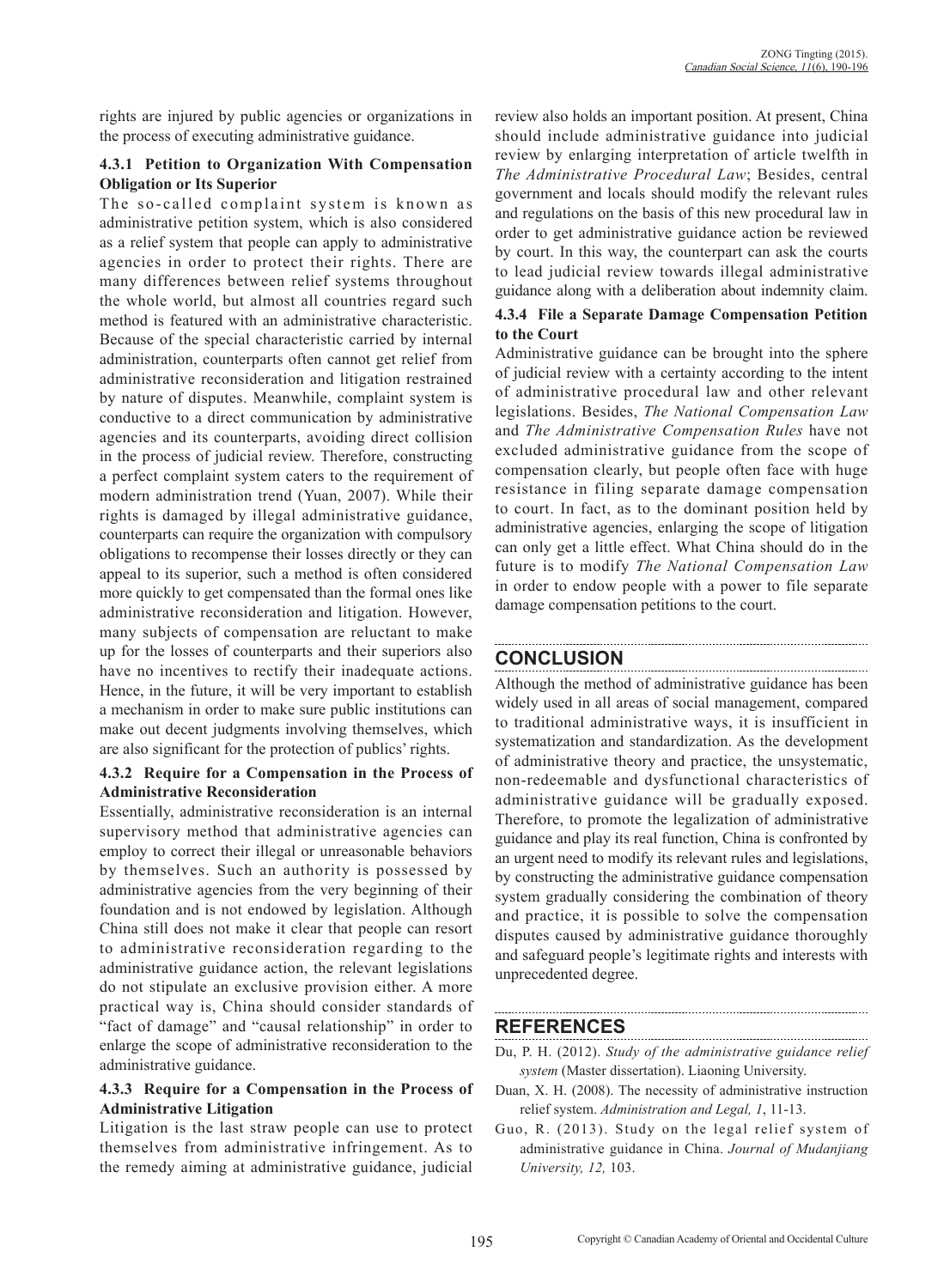rights are injured by public agencies or organizations in the process of executing administrative guidance.

#### **4.3.1 Petition to Organization With Compensation Obligation or Its Superior**

The so-called complaint system is known as administrative petition system, which is also considered as a relief system that people can apply to administrative agencies in order to protect their rights. There are many differences between relief systems throughout the whole world, but almost all countries regard such method is featured with an administrative characteristic. Because of the special characteristic carried by internal administration, counterparts often cannot get relief from administrative reconsideration and litigation restrained by nature of disputes. Meanwhile, complaint system is conductive to a direct communication by administrative agencies and its counterparts, avoiding direct collision in the process of judicial review. Therefore, constructing a perfect complaint system caters to the requirement of modern administration trend (Yuan, 2007). While their rights is damaged by illegal administrative guidance, counterparts can require the organization with compulsory obligations to recompense their losses directly or they can appeal to its superior, such a method is often considered more quickly to get compensated than the formal ones like administrative reconsideration and litigation. However, many subjects of compensation are reluctant to make up for the losses of counterparts and their superiors also have no incentives to rectify their inadequate actions. Hence, in the future, it will be very important to establish a mechanism in order to make sure public institutions can make out decent judgments involving themselves, which are also significant for the protection of publics' rights.

#### **4.3.2 Require for a Compensation in the Process of Administrative Reconsideration**

Essentially, administrative reconsideration is an internal supervisory method that administrative agencies can employ to correct their illegal or unreasonable behaviors by themselves. Such an authority is possessed by administrative agencies from the very beginning of their foundation and is not endowed by legislation. Although China still does not make it clear that people can resort to administrative reconsideration regarding to the administrative guidance action, the relevant legislations do not stipulate an exclusive provision either. A more practical way is, China should consider standards of "fact of damage" and "causal relationship" in order to enlarge the scope of administrative reconsideration to the administrative guidance.

### **4.3.3 Require for a Compensation in the Process of Administrative Litigation**

Litigation is the last straw people can use to protect themselves from administrative infringement. As to the remedy aiming at administrative guidance, judicial review also holds an important position. At present, China should include administrative guidance into judicial review by enlarging interpretation of article twelfth in *The Administrative Procedural Law*; Besides, central government and locals should modify the relevant rules and regulations on the basis of this new procedural law in order to get administrative guidance action be reviewed by court. In this way, the counterpart can ask the courts to lead judicial review towards illegal administrative guidance along with a deliberation about indemnity claim.

#### **4.3.4 File a Separate Damage Compensation Petition to the Court**

Administrative guidance can be brought into the sphere of judicial review with a certainty according to the intent of administrative procedural law and other relevant legislations. Besides, *The National Compensation Law* and *The Administrative Compensation Rules* have not excluded administrative guidance from the scope of compensation clearly, but people often face with huge resistance in filing separate damage compensation to court. In fact, as to the dominant position held by administrative agencies, enlarging the scope of litigation can only get a little effect. What China should do in the future is to modify *The National Compensation Law*  in order to endow people with a power to file separate damage compensation petitions to the court.

## **CONCLUSION**

Although the method of administrative guidance has been widely used in all areas of social management, compared to traditional administrative ways, it is insufficient in systematization and standardization. As the development of administrative theory and practice, the unsystematic, non-redeemable and dysfunctional characteristics of administrative guidance will be gradually exposed. Therefore, to promote the legalization of administrative guidance and play its real function, China is confronted by an urgent need to modify its relevant rules and legislations, by constructing the administrative guidance compensation system gradually considering the combination of theory and practice, it is possible to solve the compensation disputes caused by administrative guidance thoroughly and safeguard people's legitimate rights and interests with unprecedented degree.

## **REFERENCES**

- Du, P. H. (2012). *Study of the administrative guidance relief system* (Master dissertation). Liaoning University.
- Duan, X. H. (2008). The necessity of administrative instruction relief system. *Administration and Legal, 1*, 11-13.
- Guo, R. (2013). Study on the legal relief system of administrative guidance in China. *Journal of Mudanjiang University, 12,* 103.